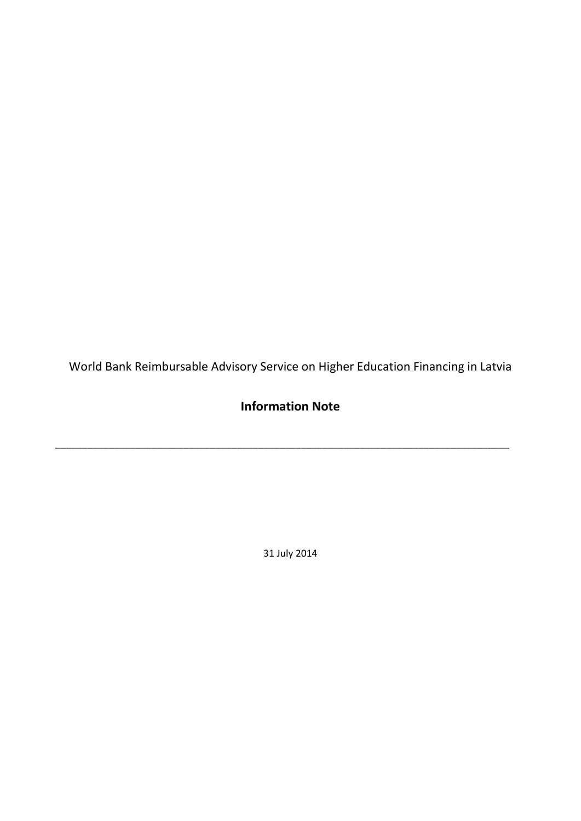World Bank Reimbursable Advisory Service on Higher Education Financing in Latvia

# **Information Note**

\_\_\_\_\_\_\_\_\_\_\_\_\_\_\_\_\_\_\_\_\_\_\_\_\_\_\_\_\_\_\_\_\_\_\_\_\_\_\_\_\_\_\_\_\_\_\_\_\_\_\_\_\_\_\_\_\_\_\_\_\_\_\_\_\_\_\_\_\_\_\_\_\_\_\_\_\_\_\_\_\_\_\_\_\_

31 July 2014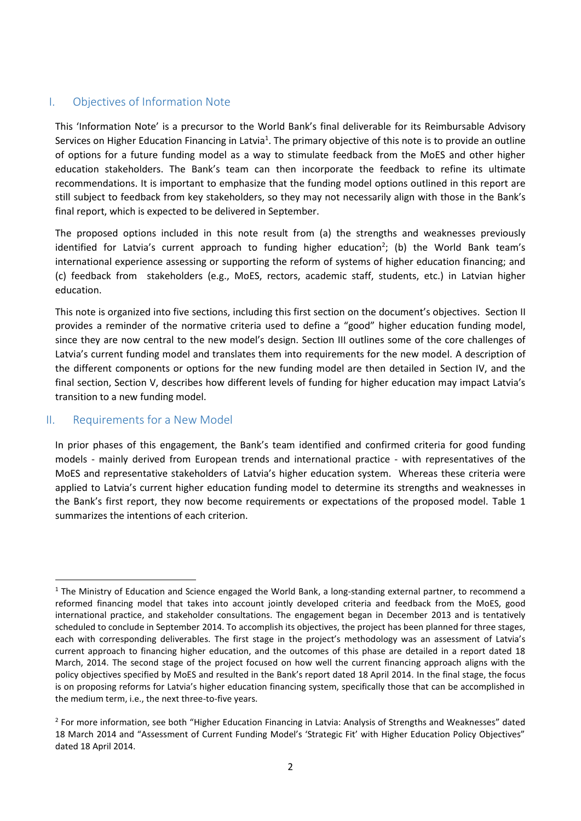# I. Objectives of Information Note

This 'Information Note' is a precursor to the World Bank's final deliverable for its Reimbursable Advisory Services on Higher Education Financing in Latvia<sup>1</sup>. The primary objective of this note is to provide an outline of options for a future funding model as a way to stimulate feedback from the MoES and other higher education stakeholders. The Bank's team can then incorporate the feedback to refine its ultimate recommendations. It is important to emphasize that the funding model options outlined in this report are still subject to feedback from key stakeholders, so they may not necessarily align with those in the Bank's final report, which is expected to be delivered in September.

The proposed options included in this note result from (a) the strengths and weaknesses previously identified for Latvia's current approach to funding higher education<sup>2</sup>; (b) the World Bank team's international experience assessing or supporting the reform of systems of higher education financing; and (c) feedback from stakeholders (e.g., MoES, rectors, academic staff, students, etc.) in Latvian higher education.

This note is organized into five sections, including this first section on the document's objectives. Section II provides a reminder of the normative criteria used to define a "good" higher education funding model, since they are now central to the new model's design. Section III outlines some of the core challenges of Latvia's current funding model and translates them into requirements for the new model. A description of the different components or options for the new funding model are then detailed in Section IV, and the final section, Section V, describes how different levels of funding for higher education may impact Latvia's transition to a new funding model.

#### II. Requirements for a New Model

In prior phases of this engagement, the Bank's team identified and confirmed criteria for good funding models - mainly derived from European trends and international practice - with representatives of the MoES and representative stakeholders of Latvia's higher education system. Whereas these criteria were applied to Latvia's current higher education funding model to determine its strengths and weaknesses in the Bank's first report, they now become requirements or expectations of the proposed model. Table 1 summarizes the intentions of each criterion.

<sup>1</sup>  $1$  The Ministry of Education and Science engaged the World Bank, a long-standing external partner, to recommend a reformed financing model that takes into account jointly developed criteria and feedback from the MoES, good international practice, and stakeholder consultations. The engagement began in December 2013 and is tentatively scheduled to conclude in September 2014. To accomplish its objectives, the project has been planned for three stages, each with corresponding deliverables. The first stage in the project's methodology was an assessment of Latvia's current approach to financing higher education, and the outcomes of this phase are detailed in a report dated 18 March, 2014. The second stage of the project focused on how well the current financing approach aligns with the policy objectives specified by MoES and resulted in the Bank's report dated 18 April 2014. In the final stage, the focus is on proposing reforms for Latvia's higher education financing system, specifically those that can be accomplished in the medium term, i.e., the next three-to-five years.

<sup>&</sup>lt;sup>2</sup> For more information, see both "Higher Education Financing in Latvia: Analysis of Strengths and Weaknesses" dated 18 March 2014 and "Assessment of Current Funding Model's 'Strategic Fit' with Higher Education Policy Objectives" dated 18 April 2014.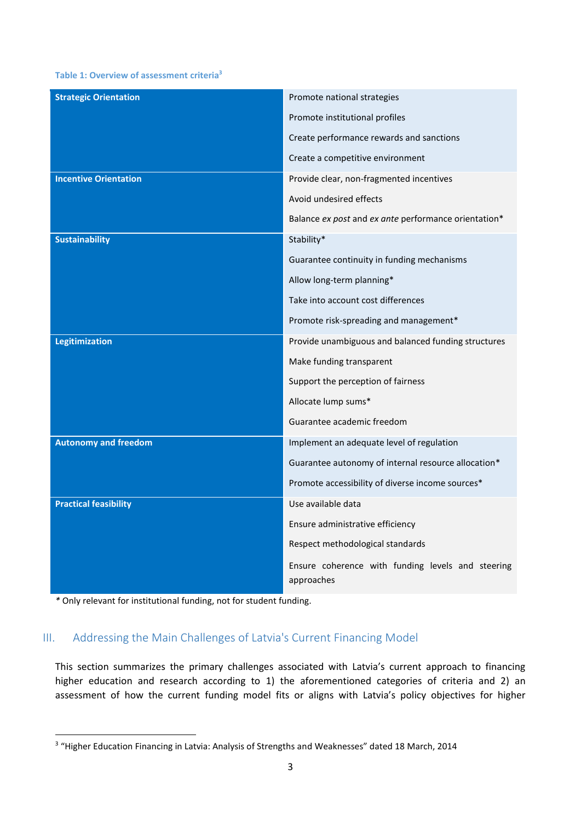#### **Table 1: Overview of assessment criteria<sup>3</sup>**

| <b>Strategic Orientation</b> | Promote national strategies                                     |
|------------------------------|-----------------------------------------------------------------|
|                              | Promote institutional profiles                                  |
|                              | Create performance rewards and sanctions                        |
|                              | Create a competitive environment                                |
| <b>Incentive Orientation</b> | Provide clear, non-fragmented incentives                        |
|                              | Avoid undesired effects                                         |
|                              | Balance ex post and ex ante performance orientation*            |
| <b>Sustainability</b>        | Stability*                                                      |
|                              | Guarantee continuity in funding mechanisms                      |
|                              | Allow long-term planning*                                       |
|                              | Take into account cost differences                              |
|                              | Promote risk-spreading and management*                          |
| <b>Legitimization</b>        | Provide unambiguous and balanced funding structures             |
|                              | Make funding transparent                                        |
|                              | Support the perception of fairness                              |
|                              | Allocate lump sums*                                             |
|                              | Guarantee academic freedom                                      |
| <b>Autonomy and freedom</b>  | Implement an adequate level of regulation                       |
|                              | Guarantee autonomy of internal resource allocation*             |
|                              | Promote accessibility of diverse income sources*                |
| <b>Practical feasibility</b> | Use available data                                              |
|                              | Ensure administrative efficiency                                |
|                              | Respect methodological standards                                |
|                              | Ensure coherence with funding levels and steering<br>approaches |

*\** Only relevant for institutional funding, not for student funding.

#### III. Addressing the Main Challenges of Latvia's Current Financing Model

This section summarizes the primary challenges associated with Latvia's current approach to financing higher education and research according to 1) the aforementioned categories of criteria and 2) an assessment of how the current funding model fits or aligns with Latvia's policy objectives for higher

 3 "Higher Education Financing in Latvia: Analysis of Strengths and Weaknesses" dated 18 March, 2014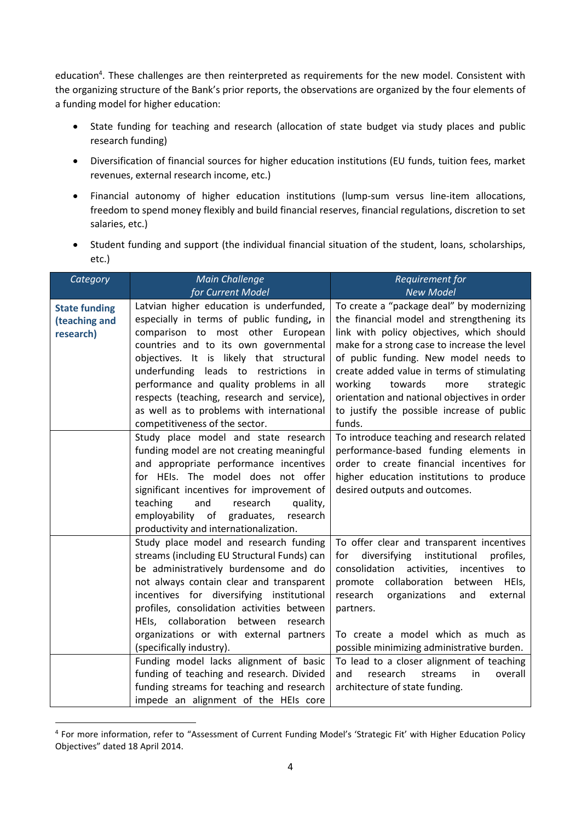education<sup>4</sup>. These challenges are then reinterpreted as requirements for the new model. Consistent with the organizing structure of the Bank's prior reports, the observations are organized by the four elements of a funding model for higher education:

- State funding for teaching and research (allocation of state budget via study places and public research funding)
- Diversification of financial sources for higher education institutions (EU funds, tuition fees, market revenues, external research income, etc.)
- Financial autonomy of higher education institutions (lump-sum versus line-item allocations, freedom to spend money flexibly and build financial reserves, financial regulations, discretion to set salaries, etc.)
- Student funding and support (the individual financial situation of the student, loans, scholarships, etc.)

| Category             | <b>Main Challenge</b>                       | Requirement for                                   |
|----------------------|---------------------------------------------|---------------------------------------------------|
|                      | for Current Model                           | <b>New Model</b>                                  |
| <b>State funding</b> | Latvian higher education is underfunded,    | To create a "package deal" by modernizing         |
| (teaching and        | especially in terms of public funding, in   | the financial model and strengthening its         |
| research)            | comparison to most other European           | link with policy objectives, which should         |
|                      | countries and to its own governmental       | make for a strong case to increase the level      |
|                      | objectives. It is likely that structural    | of public funding. New model needs to             |
|                      | underfunding leads to restrictions<br>in    | create added value in terms of stimulating        |
|                      | performance and quality problems in all     | working<br>towards<br>more<br>strategic           |
|                      | respects (teaching, research and service),  | orientation and national objectives in order      |
|                      | as well as to problems with international   | to justify the possible increase of public        |
|                      | competitiveness of the sector.              | funds.                                            |
|                      | Study place model and state research        | To introduce teaching and research related        |
|                      | funding model are not creating meaningful   | performance-based funding elements in             |
|                      | and appropriate performance incentives      | order to create financial incentives for          |
|                      | for HEIs. The model does not offer          | higher education institutions to produce          |
|                      | significant incentives for improvement of   | desired outputs and outcomes.                     |
|                      | teaching<br>and<br>research<br>quality,     |                                                   |
|                      | employability of graduates,<br>research     |                                                   |
|                      | productivity and internationalization.      |                                                   |
|                      | Study place model and research funding      | To offer clear and transparent incentives         |
|                      | streams (including EU Structural Funds) can | diversifying<br>institutional<br>for<br>profiles, |
|                      | be administratively burdensome and do       | consolidation<br>activities,<br>incentives to     |
|                      | not always contain clear and transparent    | collaboration<br>HEIs,<br>promote<br>between      |
|                      | incentives for diversifying institutional   | research<br>organizations<br>and<br>external      |
|                      | profiles, consolidation activities between  | partners.                                         |
|                      | HEIs, collaboration<br>between<br>research  |                                                   |
|                      | organizations or with external partners     | To create a model which as much as                |
|                      | (specifically industry).                    | possible minimizing administrative burden.        |
|                      | Funding model lacks alignment of basic      | To lead to a closer alignment of teaching         |
|                      | funding of teaching and research. Divided   | research<br>in<br>overall<br>and<br>streams       |
|                      | funding streams for teaching and research   | architecture of state funding.                    |
|                      | impede an alignment of the HEIs core        |                                                   |

<sup>4</sup> For more information, refer to "Assessment of Current Funding Model's 'Strategic Fit' with Higher Education Policy Objectives" dated 18 April 2014.

1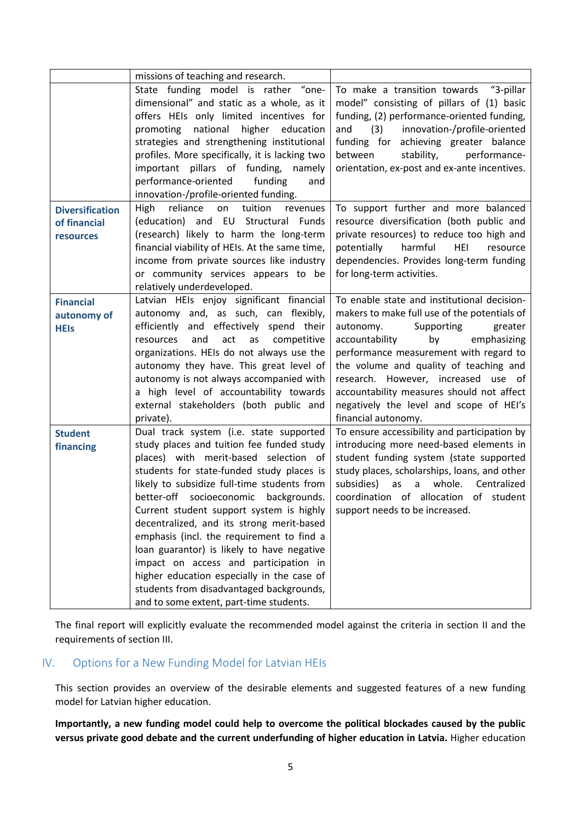|                        | missions of teaching and research.             |                                                |
|------------------------|------------------------------------------------|------------------------------------------------|
|                        | State funding model is rather "one-            | To make a transition towards "3-pillar         |
|                        | dimensional" and static as a whole, as it      | model" consisting of pillars of (1) basic      |
|                        | offers HEIs only limited incentives for        | funding, (2) performance-oriented funding,     |
|                        | national<br>higher<br>education<br>promoting   | innovation-/profile-oriented<br>(3)<br>and     |
|                        | strategies and strengthening institutional     | funding for achieving greater balance          |
|                        | profiles. More specifically, it is lacking two | performance-<br>between<br>stability,          |
|                        | important pillars of funding,<br>namely        | orientation, ex-post and ex-ante incentives.   |
|                        | funding<br>performance-oriented<br>and         |                                                |
|                        | innovation-/profile-oriented funding.          |                                                |
| <b>Diversification</b> | reliance<br>tuition<br>High<br>on<br>revenues  | To support further and more balanced           |
| of financial           | (education) and EU Structural Funds            | resource diversification (both public and      |
| resources              | (research) likely to harm the long-term        | private resources) to reduce too high and      |
|                        | financial viability of HEIs. At the same time, | harmful<br>potentially<br>HEI<br>resource      |
|                        | income from private sources like industry      | dependencies. Provides long-term funding       |
|                        | or community services appears to be            | for long-term activities.                      |
|                        | relatively underdeveloped.                     |                                                |
| <b>Financial</b>       | Latvian HEIs enjoy significant financial       | To enable state and institutional decision-    |
| autonomy of            | autonomy and, as such, can flexibly,           | makers to make full use of the potentials of   |
| <b>HEIs</b>            | efficiently<br>and effectively spend their     | autonomy.<br>Supporting<br>greater             |
|                        | and<br>act<br>competitive<br>resources<br>as   | accountability<br>emphasizing<br>by            |
|                        | organizations. HEIs do not always use the      | performance measurement with regard to         |
|                        | autonomy they have. This great level of        | the volume and quality of teaching and         |
|                        | autonomy is not always accompanied with        | research. However, increased use of            |
|                        | a high level of accountability towards         | accountability measures should not affect      |
|                        | external stakeholders (both public and         | negatively the level and scope of HEI's        |
|                        | private).                                      | financial autonomy.                            |
| <b>Student</b>         | Dual track system (i.e. state supported        | To ensure accessibility and participation by   |
| financing              | study places and tuition fee funded study      | introducing more need-based elements in        |
|                        | places) with merit-based selection of          | student funding system (state supported        |
|                        | students for state-funded study places is      | study places, scholarships, loans, and other   |
|                        | likely to subsidize full-time students from    | as<br>whole.<br>subsidies)<br>Centralized<br>a |
|                        | better-off socioeconomic<br>backgrounds.       | coordination of allocation<br>of student       |
|                        | Current student support system is highly       | support needs to be increased.                 |
|                        | decentralized, and its strong merit-based      |                                                |
|                        | emphasis (incl. the requirement to find a      |                                                |
|                        | loan guarantor) is likely to have negative     |                                                |
|                        | impact on access and participation in          |                                                |
|                        | higher education especially in the case of     |                                                |
|                        | students from disadvantaged backgrounds,       |                                                |
|                        | and to some extent, part-time students.        |                                                |

The final report will explicitly evaluate the recommended model against the criteria in section II and the requirements of section III.

# IV. Options for a New Funding Model for Latvian HEIs

This section provides an overview of the desirable elements and suggested features of a new funding model for Latvian higher education.

**Importantly, a new funding model could help to overcome the political blockades caused by the public versus private good debate and the current underfunding of higher education in Latvia.** Higher education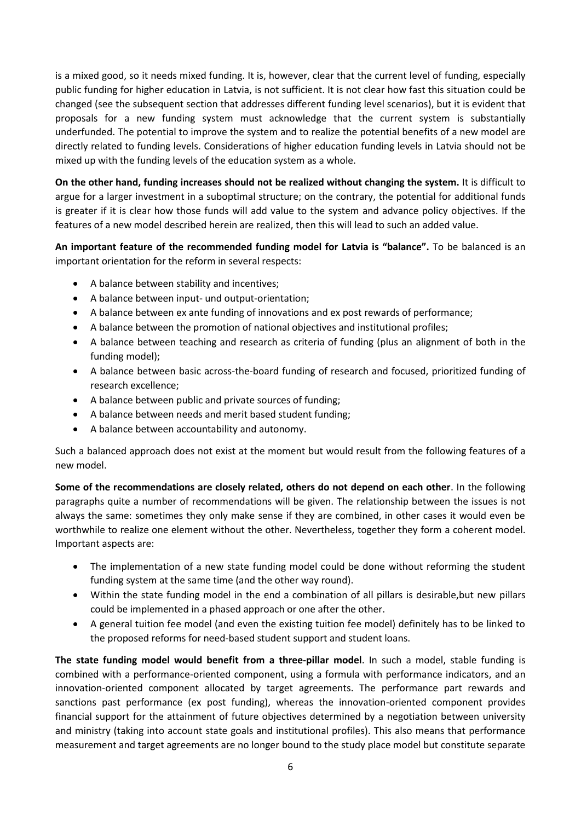is a mixed good, so it needs mixed funding. It is, however, clear that the current level of funding, especially public funding for higher education in Latvia, is not sufficient. It is not clear how fast this situation could be changed (see the subsequent section that addresses different funding level scenarios), but it is evident that proposals for a new funding system must acknowledge that the current system is substantially underfunded. The potential to improve the system and to realize the potential benefits of a new model are directly related to funding levels. Considerations of higher education funding levels in Latvia should not be mixed up with the funding levels of the education system as a whole.

**On the other hand, funding increases should not be realized without changing the system.** It is difficult to argue for a larger investment in a suboptimal structure; on the contrary, the potential for additional funds is greater if it is clear how those funds will add value to the system and advance policy objectives. If the features of a new model described herein are realized, then this will lead to such an added value.

**An important feature of the recommended funding model for Latvia is "balance".** To be balanced is an important orientation for the reform in several respects:

- A balance between stability and incentives;
- A balance between input- und output-orientation;
- A balance between ex ante funding of innovations and ex post rewards of performance;
- A balance between the promotion of national objectives and institutional profiles;
- A balance between teaching and research as criteria of funding (plus an alignment of both in the funding model);
- A balance between basic across-the-board funding of research and focused, prioritized funding of research excellence;
- A balance between public and private sources of funding;
- A balance between needs and merit based student funding;
- A balance between accountability and autonomy.

Such a balanced approach does not exist at the moment but would result from the following features of a new model.

**Some of the recommendations are closely related, others do not depend on each other**. In the following paragraphs quite a number of recommendations will be given. The relationship between the issues is not always the same: sometimes they only make sense if they are combined, in other cases it would even be worthwhile to realize one element without the other. Nevertheless, together they form a coherent model. Important aspects are:

- The implementation of a new state funding model could be done without reforming the student funding system at the same time (and the other way round).
- Within the state funding model in the end a combination of all pillars is desirable,but new pillars could be implemented in a phased approach or one after the other.
- A general tuition fee model (and even the existing tuition fee model) definitely has to be linked to the proposed reforms for need-based student support and student loans.

**The state funding model would benefit from a three-pillar model**. In such a model, stable funding is combined with a performance-oriented component, using a formula with performance indicators, and an innovation-oriented component allocated by target agreements. The performance part rewards and sanctions past performance (ex post funding), whereas the innovation-oriented component provides financial support for the attainment of future objectives determined by a negotiation between university and ministry (taking into account state goals and institutional profiles). This also means that performance measurement and target agreements are no longer bound to the study place model but constitute separate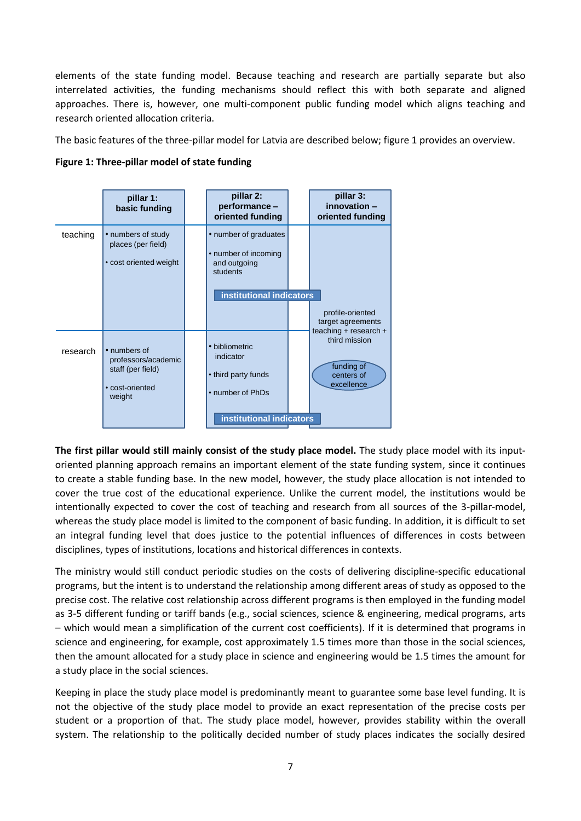elements of the state funding model. Because teaching and research are partially separate but also interrelated activities, the funding mechanisms should reflect this with both separate and aligned approaches. There is, however, one multi-component public funding model which aligns teaching and research oriented allocation criteria.

The basic features of the three-pillar model for Latvia are described below; figure 1 provides an overview.



**The first pillar would still mainly consist of the study place model.** The study place model with its inputoriented planning approach remains an important element of the state funding system, since it continues to create a stable funding base. In the new model, however, the study place allocation is not intended to cover the true cost of the educational experience. Unlike the current model, the institutions would be intentionally expected to cover the cost of teaching and research from all sources of the 3-pillar-model, whereas the study place model is limited to the component of basic funding. In addition, it is difficult to set an integral funding level that does justice to the potential influences of differences in costs between disciplines, types of institutions, locations and historical differences in contexts.

The ministry would still conduct periodic studies on the costs of delivering discipline-specific educational programs, but the intent is to understand the relationship among different areas of study as opposed to the precise cost. The relative cost relationship across different programs is then employed in the funding model as 3-5 different funding or tariff bands (e.g., social sciences, science & engineering, medical programs, arts – which would mean a simplification of the current cost coefficients). If it is determined that programs in science and engineering, for example, cost approximately 1.5 times more than those in the social sciences, then the amount allocated for a study place in science and engineering would be 1.5 times the amount for a study place in the social sciences.

Keeping in place the study place model is predominantly meant to guarantee some base level funding. It is not the objective of the study place model to provide an exact representation of the precise costs per student or a proportion of that. The study place model, however, provides stability within the overall system. The relationship to the politically decided number of study places indicates the socially desired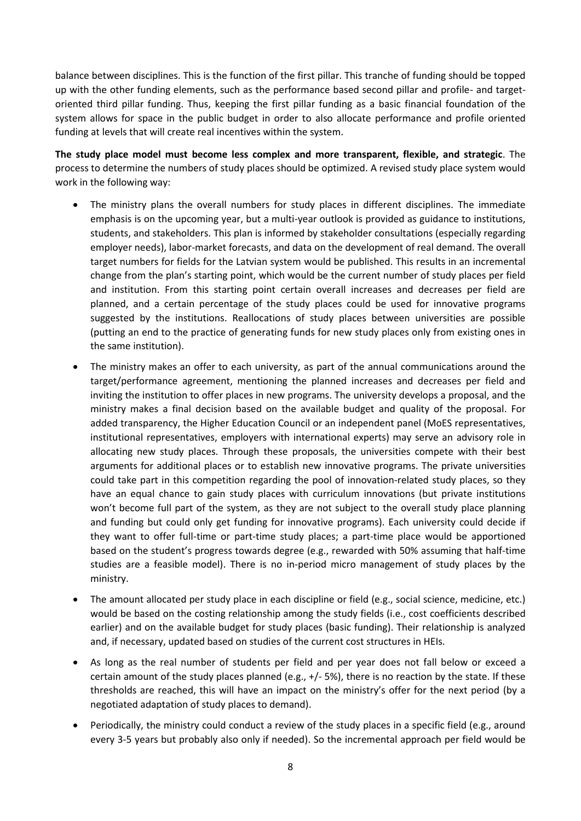balance between disciplines. This is the function of the first pillar. This tranche of funding should be topped up with the other funding elements, such as the performance based second pillar and profile- and targetoriented third pillar funding. Thus, keeping the first pillar funding as a basic financial foundation of the system allows for space in the public budget in order to also allocate performance and profile oriented funding at levels that will create real incentives within the system.

**The study place model must become less complex and more transparent, flexible, and strategic**. The process to determine the numbers of study places should be optimized. A revised study place system would work in the following way:

- The ministry plans the overall numbers for study places in different disciplines. The immediate emphasis is on the upcoming year, but a multi-year outlook is provided as guidance to institutions, students, and stakeholders. This plan is informed by stakeholder consultations (especially regarding employer needs), labor-market forecasts, and data on the development of real demand. The overall target numbers for fields for the Latvian system would be published. This results in an incremental change from the plan's starting point, which would be the current number of study places per field and institution. From this starting point certain overall increases and decreases per field are planned, and a certain percentage of the study places could be used for innovative programs suggested by the institutions. Reallocations of study places between universities are possible (putting an end to the practice of generating funds for new study places only from existing ones in the same institution).
- The ministry makes an offer to each university, as part of the annual communications around the target/performance agreement, mentioning the planned increases and decreases per field and inviting the institution to offer places in new programs. The university develops a proposal, and the ministry makes a final decision based on the available budget and quality of the proposal. For added transparency, the Higher Education Council or an independent panel (MoES representatives, institutional representatives, employers with international experts) may serve an advisory role in allocating new study places. Through these proposals, the universities compete with their best arguments for additional places or to establish new innovative programs. The private universities could take part in this competition regarding the pool of innovation-related study places, so they have an equal chance to gain study places with curriculum innovations (but private institutions won't become full part of the system, as they are not subject to the overall study place planning and funding but could only get funding for innovative programs). Each university could decide if they want to offer full-time or part-time study places; a part-time place would be apportioned based on the student's progress towards degree (e.g., rewarded with 50% assuming that half-time studies are a feasible model). There is no in-period micro management of study places by the ministry.
- The amount allocated per study place in each discipline or field (e.g., social science, medicine, etc.) would be based on the costing relationship among the study fields (i.e., cost coefficients described earlier) and on the available budget for study places (basic funding). Their relationship is analyzed and, if necessary, updated based on studies of the current cost structures in HEIs.
- As long as the real number of students per field and per year does not fall below or exceed a certain amount of the study places planned (e.g., +/- 5%), there is no reaction by the state. If these thresholds are reached, this will have an impact on the ministry's offer for the next period (by a negotiated adaptation of study places to demand).
- Periodically, the ministry could conduct a review of the study places in a specific field (e.g., around every 3-5 years but probably also only if needed). So the incremental approach per field would be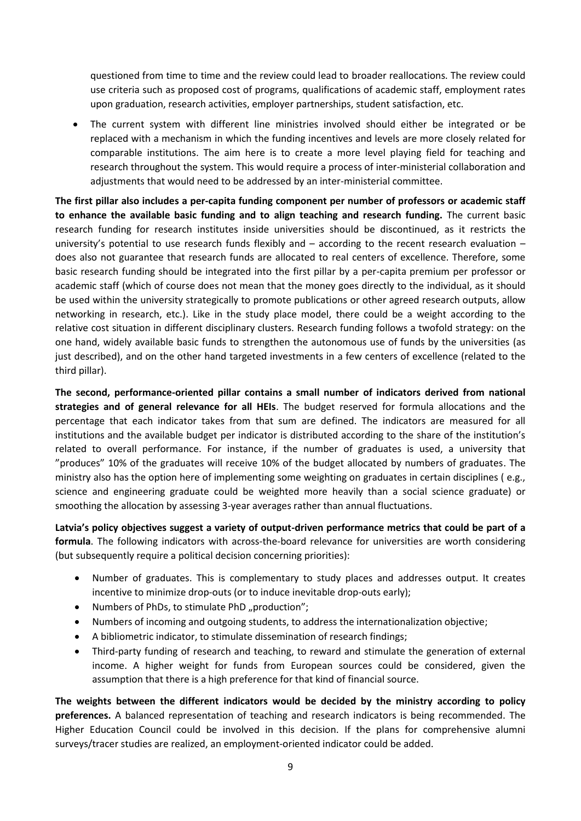questioned from time to time and the review could lead to broader reallocations. The review could use criteria such as proposed cost of programs, qualifications of academic staff, employment rates upon graduation, research activities, employer partnerships, student satisfaction, etc.

 The current system with different line ministries involved should either be integrated or be replaced with a mechanism in which the funding incentives and levels are more closely related for comparable institutions. The aim here is to create a more level playing field for teaching and research throughout the system. This would require a process of inter-ministerial collaboration and adjustments that would need to be addressed by an inter-ministerial committee.

**The first pillar also includes a per-capita funding component per number of professors or academic staff to enhance the available basic funding and to align teaching and research funding.** The current basic research funding for research institutes inside universities should be discontinued, as it restricts the university's potential to use research funds flexibly and – according to the recent research evaluation – does also not guarantee that research funds are allocated to real centers of excellence. Therefore, some basic research funding should be integrated into the first pillar by a per-capita premium per professor or academic staff (which of course does not mean that the money goes directly to the individual, as it should be used within the university strategically to promote publications or other agreed research outputs, allow networking in research, etc.). Like in the study place model, there could be a weight according to the relative cost situation in different disciplinary clusters. Research funding follows a twofold strategy: on the one hand, widely available basic funds to strengthen the autonomous use of funds by the universities (as just described), and on the other hand targeted investments in a few centers of excellence (related to the third pillar).

**The second, performance-oriented pillar contains a small number of indicators derived from national strategies and of general relevance for all HEIs**. The budget reserved for formula allocations and the percentage that each indicator takes from that sum are defined. The indicators are measured for all institutions and the available budget per indicator is distributed according to the share of the institution's related to overall performance. For instance, if the number of graduates is used, a university that "produces" 10% of the graduates will receive 10% of the budget allocated by numbers of graduates. The ministry also has the option here of implementing some weighting on graduates in certain disciplines ( e.g., science and engineering graduate could be weighted more heavily than a social science graduate) or smoothing the allocation by assessing 3-year averages rather than annual fluctuations.

**Latvia's policy objectives suggest a variety of output-driven performance metrics that could be part of a formula**. The following indicators with across-the-board relevance for universities are worth considering (but subsequently require a political decision concerning priorities):

- Number of graduates. This is complementary to study places and addresses output. It creates incentive to minimize drop-outs (or to induce inevitable drop-outs early);
- Numbers of PhDs, to stimulate PhD ..production":
- Numbers of incoming and outgoing students, to address the internationalization objective;
- A bibliometric indicator, to stimulate dissemination of research findings;
- Third-party funding of research and teaching, to reward and stimulate the generation of external income. A higher weight for funds from European sources could be considered, given the assumption that there is a high preference for that kind of financial source.

**The weights between the different indicators would be decided by the ministry according to policy preferences.** A balanced representation of teaching and research indicators is being recommended. The Higher Education Council could be involved in this decision. If the plans for comprehensive alumni surveys/tracer studies are realized, an employment-oriented indicator could be added.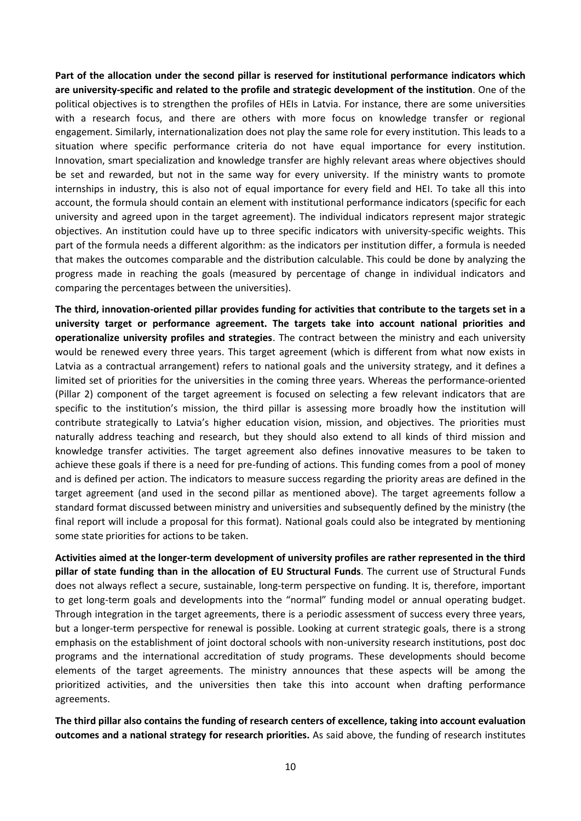**Part of the allocation under the second pillar is reserved for institutional performance indicators which are university-specific and related to the profile and strategic development of the institution**. One of the political objectives is to strengthen the profiles of HEIs in Latvia. For instance, there are some universities with a research focus, and there are others with more focus on knowledge transfer or regional engagement. Similarly, internationalization does not play the same role for every institution. This leads to a situation where specific performance criteria do not have equal importance for every institution. Innovation, smart specialization and knowledge transfer are highly relevant areas where objectives should be set and rewarded, but not in the same way for every university. If the ministry wants to promote internships in industry, this is also not of equal importance for every field and HEI. To take all this into account, the formula should contain an element with institutional performance indicators (specific for each university and agreed upon in the target agreement). The individual indicators represent major strategic objectives. An institution could have up to three specific indicators with university-specific weights. This part of the formula needs a different algorithm: as the indicators per institution differ, a formula is needed that makes the outcomes comparable and the distribution calculable. This could be done by analyzing the progress made in reaching the goals (measured by percentage of change in individual indicators and comparing the percentages between the universities).

**The third, innovation-oriented pillar provides funding for activities that contribute to the targets set in a university target or performance agreement. The targets take into account national priorities and operationalize university profiles and strategies**. The contract between the ministry and each university would be renewed every three years. This target agreement (which is different from what now exists in Latvia as a contractual arrangement) refers to national goals and the university strategy, and it defines a limited set of priorities for the universities in the coming three years. Whereas the performance-oriented (Pillar 2) component of the target agreement is focused on selecting a few relevant indicators that are specific to the institution's mission, the third pillar is assessing more broadly how the institution will contribute strategically to Latvia's higher education vision, mission, and objectives. The priorities must naturally address teaching and research, but they should also extend to all kinds of third mission and knowledge transfer activities. The target agreement also defines innovative measures to be taken to achieve these goals if there is a need for pre-funding of actions. This funding comes from a pool of money and is defined per action. The indicators to measure success regarding the priority areas are defined in the target agreement (and used in the second pillar as mentioned above). The target agreements follow a standard format discussed between ministry and universities and subsequently defined by the ministry (the final report will include a proposal for this format). National goals could also be integrated by mentioning some state priorities for actions to be taken.

**Activities aimed at the longer-term development of university profiles are rather represented in the third pillar of state funding than in the allocation of EU Structural Funds**. The current use of Structural Funds does not always reflect a secure, sustainable, long-term perspective on funding. It is, therefore, important to get long-term goals and developments into the "normal" funding model or annual operating budget. Through integration in the target agreements, there is a periodic assessment of success every three years, but a longer-term perspective for renewal is possible. Looking at current strategic goals, there is a strong emphasis on the establishment of joint doctoral schools with non-university research institutions, post doc programs and the international accreditation of study programs. These developments should become elements of the target agreements. The ministry announces that these aspects will be among the prioritized activities, and the universities then take this into account when drafting performance agreements.

**The third pillar also contains the funding of research centers of excellence, taking into account evaluation outcomes and a national strategy for research priorities.** As said above, the funding of research institutes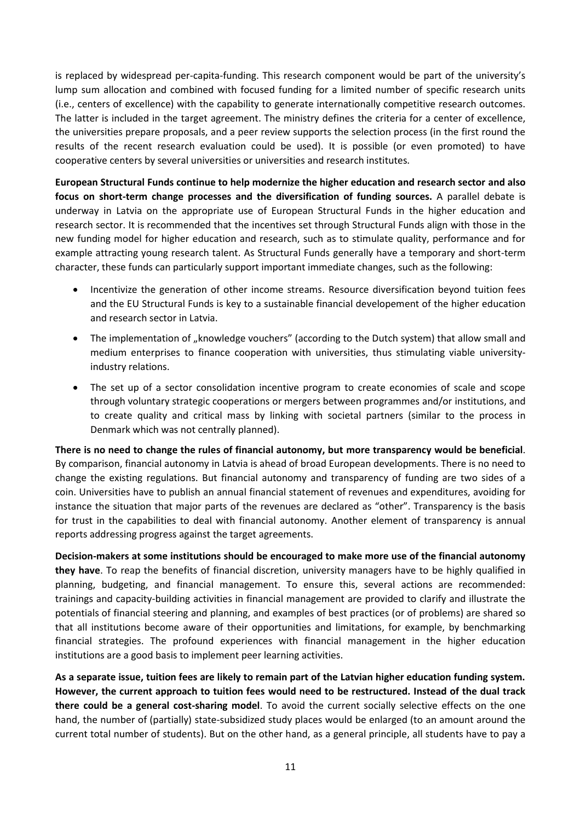is replaced by widespread per-capita-funding. This research component would be part of the university's lump sum allocation and combined with focused funding for a limited number of specific research units (i.e., centers of excellence) with the capability to generate internationally competitive research outcomes. The latter is included in the target agreement. The ministry defines the criteria for a center of excellence, the universities prepare proposals, and a peer review supports the selection process (in the first round the results of the recent research evaluation could be used). It is possible (or even promoted) to have cooperative centers by several universities or universities and research institutes.

**European Structural Funds continue to help modernize the higher education and research sector and also focus on short-term change processes and the diversification of funding sources.** A parallel debate is underway in Latvia on the appropriate use of European Structural Funds in the higher education and research sector. It is recommended that the incentives set through Structural Funds align with those in the new funding model for higher education and research, such as to stimulate quality, performance and for example attracting young research talent. As Structural Funds generally have a temporary and short-term character, these funds can particularly support important immediate changes, such as the following:

- Incentivize the generation of other income streams. Resource diversification beyond tuition fees and the EU Structural Funds is key to a sustainable financial developement of the higher education and research sector in Latvia.
- The implementation of "knowledge vouchers" (according to the Dutch system) that allow small and medium enterprises to finance cooperation with universities, thus stimulating viable universityindustry relations.
- The set up of a sector consolidation incentive program to create economies of scale and scope through voluntary strategic cooperations or mergers between programmes and/or institutions, and to create quality and critical mass by linking with societal partners (similar to the process in Denmark which was not centrally planned).

**There is no need to change the rules of financial autonomy, but more transparency would be beneficial**. By comparison, financial autonomy in Latvia is ahead of broad European developments. There is no need to change the existing regulations. But financial autonomy and transparency of funding are two sides of a coin. Universities have to publish an annual financial statement of revenues and expenditures, avoiding for instance the situation that major parts of the revenues are declared as "other". Transparency is the basis for trust in the capabilities to deal with financial autonomy. Another element of transparency is annual reports addressing progress against the target agreements.

**Decision-makers at some institutions should be encouraged to make more use of the financial autonomy they have**. To reap the benefits of financial discretion, university managers have to be highly qualified in planning, budgeting, and financial management. To ensure this, several actions are recommended: trainings and capacity-building activities in financial management are provided to clarify and illustrate the potentials of financial steering and planning, and examples of best practices (or of problems) are shared so that all institutions become aware of their opportunities and limitations, for example, by benchmarking financial strategies. The profound experiences with financial management in the higher education institutions are a good basis to implement peer learning activities.

**As a separate issue, tuition fees are likely to remain part of the Latvian higher education funding system. However, the current approach to tuition fees would need to be restructured. Instead of the dual track there could be a general cost-sharing model**. To avoid the current socially selective effects on the one hand, the number of (partially) state-subsidized study places would be enlarged (to an amount around the current total number of students). But on the other hand, as a general principle, all students have to pay a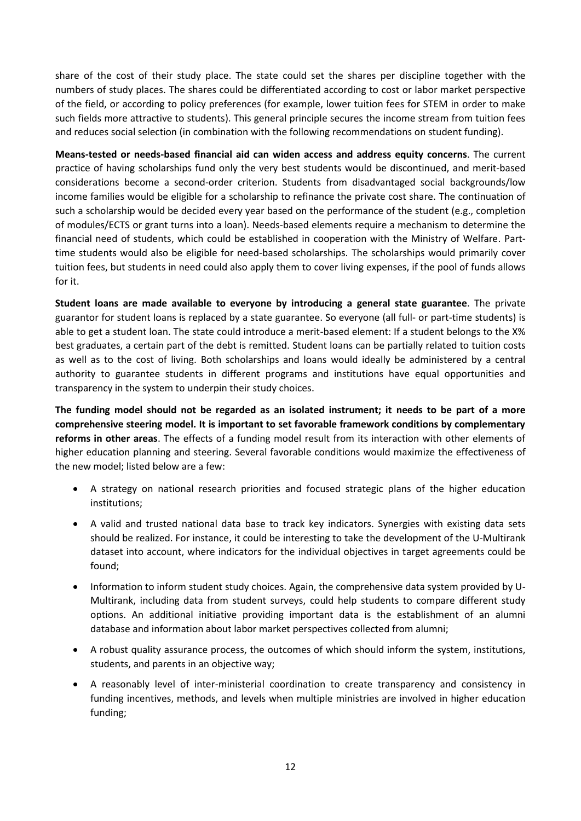share of the cost of their study place. The state could set the shares per discipline together with the numbers of study places. The shares could be differentiated according to cost or labor market perspective of the field, or according to policy preferences (for example, lower tuition fees for STEM in order to make such fields more attractive to students). This general principle secures the income stream from tuition fees and reduces social selection (in combination with the following recommendations on student funding).

**Means-tested or needs-based financial aid can widen access and address equity concerns**. The current practice of having scholarships fund only the very best students would be discontinued, and merit-based considerations become a second-order criterion. Students from disadvantaged social backgrounds/low income families would be eligible for a scholarship to refinance the private cost share. The continuation of such a scholarship would be decided every year based on the performance of the student (e.g., completion of modules/ECTS or grant turns into a loan). Needs-based elements require a mechanism to determine the financial need of students, which could be established in cooperation with the Ministry of Welfare. Parttime students would also be eligible for need-based scholarships. The scholarships would primarily cover tuition fees, but students in need could also apply them to cover living expenses, if the pool of funds allows for it.

**Student loans are made available to everyone by introducing a general state guarantee**. The private guarantor for student loans is replaced by a state guarantee. So everyone (all full- or part-time students) is able to get a student loan. The state could introduce a merit-based element: If a student belongs to the X% best graduates, a certain part of the debt is remitted. Student loans can be partially related to tuition costs as well as to the cost of living. Both scholarships and loans would ideally be administered by a central authority to guarantee students in different programs and institutions have equal opportunities and transparency in the system to underpin their study choices.

**The funding model should not be regarded as an isolated instrument; it needs to be part of a more comprehensive steering model. It is important to set favorable framework conditions by complementary reforms in other areas**. The effects of a funding model result from its interaction with other elements of higher education planning and steering. Several favorable conditions would maximize the effectiveness of the new model; listed below are a few:

- A strategy on national research priorities and focused strategic plans of the higher education institutions;
- A valid and trusted national data base to track key indicators. Synergies with existing data sets should be realized. For instance, it could be interesting to take the development of the U-Multirank dataset into account, where indicators for the individual objectives in target agreements could be found;
- Information to inform student study choices. Again, the comprehensive data system provided by U-Multirank, including data from student surveys, could help students to compare different study options. An additional initiative providing important data is the establishment of an alumni database and information about labor market perspectives collected from alumni;
- A robust quality assurance process, the outcomes of which should inform the system, institutions, students, and parents in an objective way;
- A reasonably level of inter-ministerial coordination to create transparency and consistency in funding incentives, methods, and levels when multiple ministries are involved in higher education funding;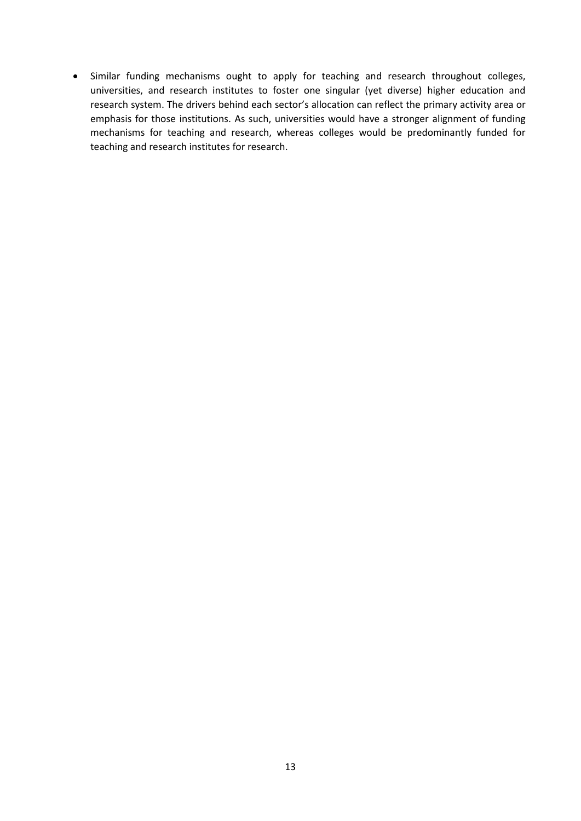• Similar funding mechanisms ought to apply for teaching and research throughout colleges, universities, and research institutes to foster one singular (yet diverse) higher education and research system. The drivers behind each sector's allocation can reflect the primary activity area or emphasis for those institutions. As such, universities would have a stronger alignment of funding mechanisms for teaching and research, whereas colleges would be predominantly funded for teaching and research institutes for research.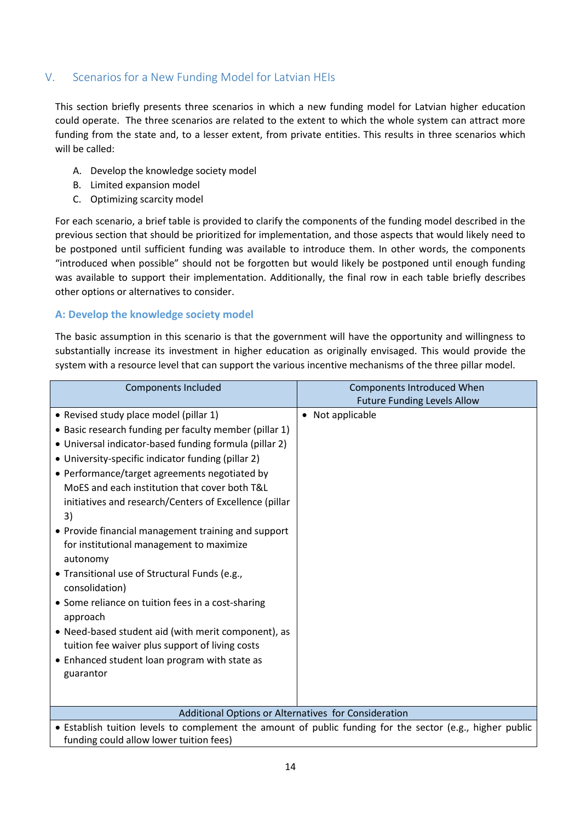# V. Scenarios for a New Funding Model for Latvian HEIs

This section briefly presents three scenarios in which a new funding model for Latvian higher education could operate. The three scenarios are related to the extent to which the whole system can attract more funding from the state and, to a lesser extent, from private entities. This results in three scenarios which will be called:

- A. Develop the knowledge society model
- B. Limited expansion model
- C. Optimizing scarcity model

For each scenario, a brief table is provided to clarify the components of the funding model described in the previous section that should be prioritized for implementation, and those aspects that would likely need to be postponed until sufficient funding was available to introduce them. In other words, the components "introduced when possible" should not be forgotten but would likely be postponed until enough funding was available to support their implementation. Additionally, the final row in each table briefly describes other options or alternatives to consider.

# **A: Develop the knowledge society model**

The basic assumption in this scenario is that the government will have the opportunity and willingness to substantially increase its investment in higher education as originally envisaged. This would provide the system with a resource level that can support the various incentive mechanisms of the three pillar model.

| <b>Components Included</b>                                                                                | <b>Components Introduced When</b>  |  |
|-----------------------------------------------------------------------------------------------------------|------------------------------------|--|
|                                                                                                           | <b>Future Funding Levels Allow</b> |  |
| • Revised study place model (pillar 1)                                                                    | • Not applicable                   |  |
| • Basic research funding per faculty member (pillar 1)                                                    |                                    |  |
| • Universal indicator-based funding formula (pillar 2)                                                    |                                    |  |
| • University-specific indicator funding (pillar 2)                                                        |                                    |  |
| • Performance/target agreements negotiated by                                                             |                                    |  |
| MoES and each institution that cover both T&L                                                             |                                    |  |
| initiatives and research/Centers of Excellence (pillar                                                    |                                    |  |
| 3)                                                                                                        |                                    |  |
| • Provide financial management training and support                                                       |                                    |  |
| for institutional management to maximize                                                                  |                                    |  |
| autonomy                                                                                                  |                                    |  |
| • Transitional use of Structural Funds (e.g.,                                                             |                                    |  |
| consolidation)                                                                                            |                                    |  |
| • Some reliance on tuition fees in a cost-sharing                                                         |                                    |  |
| approach                                                                                                  |                                    |  |
| • Need-based student aid (with merit component), as                                                       |                                    |  |
| tuition fee waiver plus support of living costs                                                           |                                    |  |
| • Enhanced student loan program with state as                                                             |                                    |  |
| guarantor                                                                                                 |                                    |  |
|                                                                                                           |                                    |  |
| Additional Options or Alternatives for Consideration                                                      |                                    |  |
| • Establish tuition levels to complement the amount of public funding for the sector (e.g., higher public |                                    |  |
| funding could allow lower tuition fees)                                                                   |                                    |  |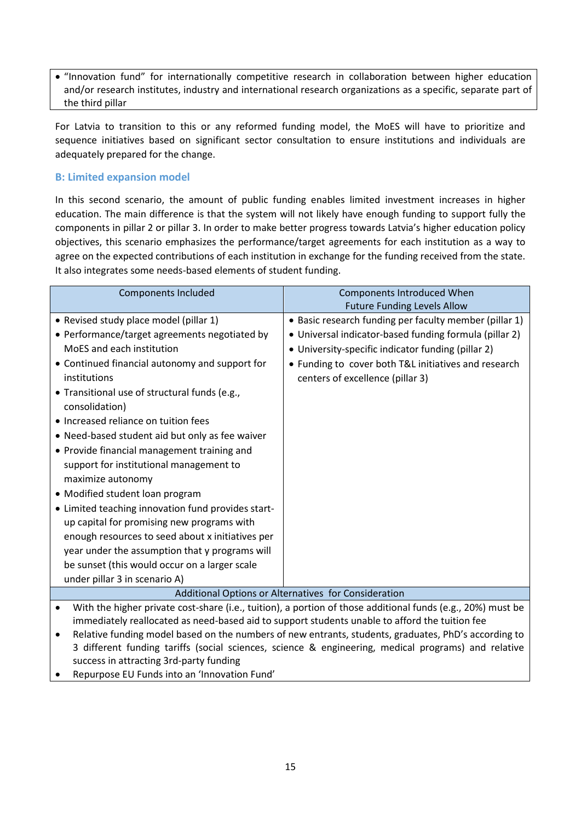"Innovation fund" for internationally competitive research in collaboration between higher education and/or research institutes, industry and international research organizations as a specific, separate part of the third pillar

For Latvia to transition to this or any reformed funding model, the MoES will have to prioritize and sequence initiatives based on significant sector consultation to ensure institutions and individuals are adequately prepared for the change.

## **B: Limited expansion model**

In this second scenario, the amount of public funding enables limited investment increases in higher education. The main difference is that the system will not likely have enough funding to support fully the components in pillar 2 or pillar 3. In order to make better progress towards Latvia's higher education policy objectives, this scenario emphasizes the performance/target agreements for each institution as a way to agree on the expected contributions of each institution in exchange for the funding received from the state. It also integrates some needs-based elements of student funding.

| <b>Components Included</b>                                                                                                                                                                                  | <b>Components Introduced When</b>                                                              |  |
|-------------------------------------------------------------------------------------------------------------------------------------------------------------------------------------------------------------|------------------------------------------------------------------------------------------------|--|
|                                                                                                                                                                                                             | <b>Future Funding Levels Allow</b>                                                             |  |
| • Revised study place model (pillar 1)                                                                                                                                                                      | • Basic research funding per faculty member (pillar 1)                                         |  |
| • Performance/target agreements negotiated by                                                                                                                                                               | • Universal indicator-based funding formula (pillar 2)                                         |  |
| MoES and each institution                                                                                                                                                                                   | • University-specific indicator funding (pillar 2)                                             |  |
| • Continued financial autonomy and support for                                                                                                                                                              | • Funding to cover both T&L initiatives and research                                           |  |
| institutions                                                                                                                                                                                                | centers of excellence (pillar 3)                                                               |  |
| • Transitional use of structural funds (e.g.,                                                                                                                                                               |                                                                                                |  |
| consolidation)                                                                                                                                                                                              |                                                                                                |  |
| • Increased reliance on tuition fees                                                                                                                                                                        |                                                                                                |  |
| • Need-based student aid but only as fee waiver                                                                                                                                                             |                                                                                                |  |
| • Provide financial management training and                                                                                                                                                                 |                                                                                                |  |
| support for institutional management to                                                                                                                                                                     |                                                                                                |  |
| maximize autonomy                                                                                                                                                                                           |                                                                                                |  |
| • Modified student loan program                                                                                                                                                                             |                                                                                                |  |
| • Limited teaching innovation fund provides start-                                                                                                                                                          |                                                                                                |  |
| up capital for promising new programs with                                                                                                                                                                  |                                                                                                |  |
| enough resources to seed about x initiatives per                                                                                                                                                            |                                                                                                |  |
| year under the assumption that y programs will                                                                                                                                                              |                                                                                                |  |
| be sunset (this would occur on a larger scale                                                                                                                                                               |                                                                                                |  |
| under pillar 3 in scenario A)                                                                                                                                                                               |                                                                                                |  |
| Additional Options or Alternatives for Consideration                                                                                                                                                        |                                                                                                |  |
| With the higher private cost-share (i.e., tuition), a portion of those additional funds (e.g., 20%) must be<br>$\bullet$                                                                                    |                                                                                                |  |
|                                                                                                                                                                                                             | immediately reallocated as need-based aid to support students unable to afford the tuition fee |  |
| Relative funding model based on the numbers of new entrants, students, graduates, PhD's according to<br>2 different funding tariffe (cocial sciences, science 8, engineering medical pregrams) and relative |                                                                                                |  |

- 3 different funding tariffs (social sciences, science & engineering, medical programs) and relative success in attracting 3rd-party funding
- Repurpose EU Funds into an 'Innovation Fund'